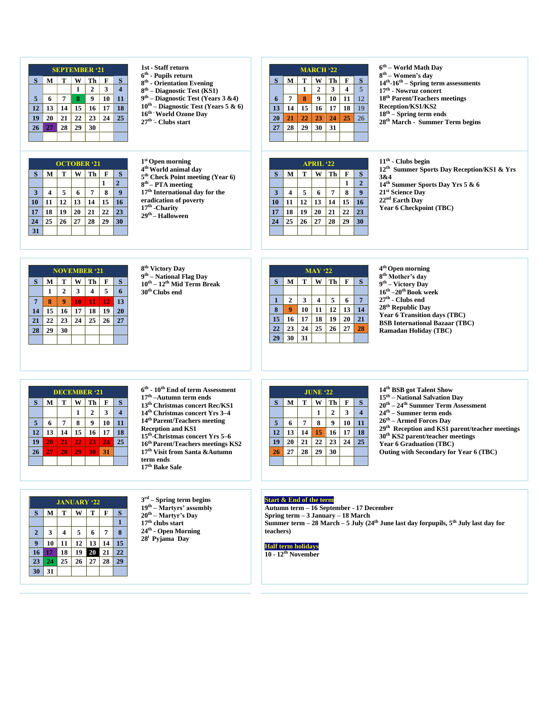|    | <b>SEPTEMBER '21</b>        |    |    |    |    |                |  |  |  |  |
|----|-----------------------------|----|----|----|----|----------------|--|--|--|--|
| S  | S<br>M<br>т<br>Th<br>F<br>w |    |    |    |    |                |  |  |  |  |
|    |                             |    | 1  | 2  | 3  | $\overline{4}$ |  |  |  |  |
| 5  | 6                           | 7  | 8  | 9  | 10 | 11             |  |  |  |  |
| 12 | 13                          | 14 | 15 | 16 | 17 | 18             |  |  |  |  |
| 19 | 20                          | 21 | 22 | 23 | 24 | 25             |  |  |  |  |
| 26 | 27                          | 28 | 29 | 30 |    |                |  |  |  |  |
|    |                             |    |    |    |    |                |  |  |  |  |

| <b>OCTOBER '21</b> |    |    |    |    |    |                |  |  |  |
|--------------------|----|----|----|----|----|----------------|--|--|--|
| S                  | M  | T  | W  | Th | F  | S              |  |  |  |
|                    |    |    |    |    | 1  | $\overline{2}$ |  |  |  |
| 3                  | 4  | 5  | 6  | 7  | 8  | 9              |  |  |  |
| 10                 | 11 | 12 | 13 | 14 | 15 | 16             |  |  |  |
| 17                 | 18 | 19 | 20 | 21 | 22 | 23             |  |  |  |
| 24                 | 25 | 26 | 27 | 28 | 29 | 30             |  |  |  |
| 31                 |    |    |    |    |    |                |  |  |  |

**1st - Staff return th - Pupils return th - Orientation Evening th – Diagnostic Test (KS1) th – Diagnostic Test (Years 3 &4) th – Diagnostic Test (Years 5 & 6) th -World Ozone Day**

**th - - Clubs start** 

| <b>MARCH '22</b> |    |    |    |    |    |    |  |  |  |
|------------------|----|----|----|----|----|----|--|--|--|
| S                | M  | T  |    | Th | F  | S  |  |  |  |
|                  |    | 1  | 2  | 3  | 4  | 5  |  |  |  |
| 6                | 7  | 8  | 9  | 10 | 11 | 12 |  |  |  |
| 13               | 14 | 15 | 16 | 17 | 18 | 19 |  |  |  |
| 20               | 21 | 22 | 23 | 24 | 25 | 26 |  |  |  |
| 27               | 28 | 29 | 30 | 31 |    |    |  |  |  |
|                  |    |    |    |    |    |    |  |  |  |

 **th – World Math Day th – Women's day th -16 th – Spring term assessments th - Nowruz concert th Parent/Teachers meetings Reception/KS1/KS2 th – Spring term ends th March - Summer Term begins**

| $1st$ Open morning                           |
|----------------------------------------------|
| 4 <sup>th</sup> World animal day             |
| 5 <sup>th</sup> Check Point meeting (Year 6) |
| $8th$ – PTA meeting                          |
| 17 <sup>th</sup> International day for the   |
| eradication of poverty                       |
| 17 <sup>th</sup> -Charity                    |
| 29 <sup>th</sup> – Halloween                 |
|                                              |

| <b>APRIL '22</b> |    |    |    |    |    |                |  |  |  |
|------------------|----|----|----|----|----|----------------|--|--|--|
| S                | M  | т  | W  | Th | F  | S              |  |  |  |
|                  |    |    |    |    | 1  | $\overline{2}$ |  |  |  |
| 3                | 4  | 5  | 6  | 7  | 8  | 9              |  |  |  |
| 10               | 11 | 12 | 13 | 14 | 15 | 16             |  |  |  |
| 17               | 18 | 19 | 20 | 21 | 22 | 2 <sub>3</sub> |  |  |  |
| 24               | 25 | 26 | 27 | 28 | 29 | 30             |  |  |  |
|                  |    |    |    |    |    |                |  |  |  |

**th - Clubs begin th Summer Sports Day Reception/KS1 & Yrs 3&4 th Summer Sports Day Yrs 5 & 6 st Science Day nd Earth Day Year 6 Checkpoint (TBC)**

|                | <b>NOVEMBER '21</b> |                   |    |    |    |    |  |  |  |  |
|----------------|---------------------|-------------------|----|----|----|----|--|--|--|--|
| S              | M                   | T<br>Th<br>W<br>F |    |    |    |    |  |  |  |  |
|                | 1                   | $\overline{2}$    | 3  | 4  | 5  | 6  |  |  |  |  |
| $\overline{7}$ | 8                   | 9                 | 10 | 11 | 12 | 13 |  |  |  |  |
| 14             | 15                  | 16                | 17 | 18 | 19 | 20 |  |  |  |  |
| 21             | 22                  | 23                | 24 | 25 | 26 | 27 |  |  |  |  |
| 28             | 29                  | 30                |    |    |    |    |  |  |  |  |
|                |                     |                   |    |    |    |    |  |  |  |  |

 **th Victory Day th – National Flag Day th – 12th Mid Term Break th Clubs end**

| $MAY$ '22 |                |    |    |    |    |    |  |  |  |
|-----------|----------------|----|----|----|----|----|--|--|--|
| S         | M              | T  | W  | Th | F  | S  |  |  |  |
|           |                |    |    |    |    |    |  |  |  |
| 1         | $\overline{2}$ | 3  | 4  | 5  | 6  | 7  |  |  |  |
| 8         | 9              | 10 | 11 | 12 | 13 | 14 |  |  |  |
| 15        | 16             | 17 | 18 | 19 | 20 | 21 |  |  |  |
| 22        | 23             | 24 | 25 | 26 | 27 | 28 |  |  |  |
| 29        | 30             | 31 |    |    |    |    |  |  |  |

 **th Open morning th Mother's day th – Victory Day th –20 th Book week th - Clubs end th Republic Day Year 6 Transition days (TBC) BSB International Bazaar (TBC) Ramadan Holiday (TBC)**

|    | <b>DECEMBER '21</b>         |    |    |              |    |                |  |  |  |  |
|----|-----------------------------|----|----|--------------|----|----------------|--|--|--|--|
| S  | Th<br>M<br>T<br>S<br>F<br>W |    |    |              |    |                |  |  |  |  |
|    |                             |    |    | $\mathbf{2}$ | 3  | $\overline{4}$ |  |  |  |  |
| 5  | 6                           | 7  | 8  | 9            | 10 | 11             |  |  |  |  |
| 12 | 13                          | 14 | 15 | 16           | 17 | 18             |  |  |  |  |
| 19 | 20                          | 21 | 22 | 23           | 24 | 25             |  |  |  |  |
| 26 | 27                          | 28 | 29 | 30           | 31 |                |  |  |  |  |
|    |                             |    |    |              |    |                |  |  |  |  |

 **th - 10 th End of term Assessment th –Autumn term ends th Christmas concert Rec/KS1 th Christmas concert Yrs 3–4 th Parent/Teachers meeting Reception and KS1 th -Christmas concert Yrs 5–6 th Parent/Teachers meetings KS2 th Visit from Santa &Autumn term ends th Bake Sale**

|    | <b>JUNE '22</b> |    |    |                |    |    |  |  |  |  |
|----|-----------------|----|----|----------------|----|----|--|--|--|--|
| S  | M               | T  | W  | Th             | F  | S  |  |  |  |  |
|    |                 |    | 1  | $\overline{2}$ | 3  | 4  |  |  |  |  |
| 5  | 6               | 7  | 8  | 9              | 10 | 11 |  |  |  |  |
| 12 | 13              | 14 | 15 | 16             | 17 | 18 |  |  |  |  |
| 19 | 20              | 21 | 22 | 23             | 24 | 25 |  |  |  |  |
| 26 | 27              | 28 | 29 | 30             |    |    |  |  |  |  |
|    |                 |    |    |                |    |    |  |  |  |  |

**th BSB got Talent Show th – National Salvation Day th – 24th Summer Term Assessment th – Summer term ends th – Armed Forces Day th Reception and KS1 parent/teacher meetings th KS2 parent/teacher meetings Year 6 Graduation (TBC) Outing with Secondary for Year 6 (TBC)**

## **JANUARY '22**  $S$  **M**  $T$  $\overline{W}$   $\overline{T}$   $\overline{F}$   $\overline{S}$  **3 4 5 6 7 8 10 11 12 13 14 15 17 18 19 20 21 22 24 25 26 27 28 29 31**

 **rd – Spring term begins th – Martyrs' assembly th – Martyr's Day th clubs start th - Open Morning <sup>t</sup> Pyjama Day**

## **Start & End of the term**

**Autumn term – 16 September - 17 December Spring term – 3 January – 18 March Summer term – 28 March – 5 July (24th June last day forpupils, 5th July last day for teachers)**

**Half term holidays**

**- 12th November**